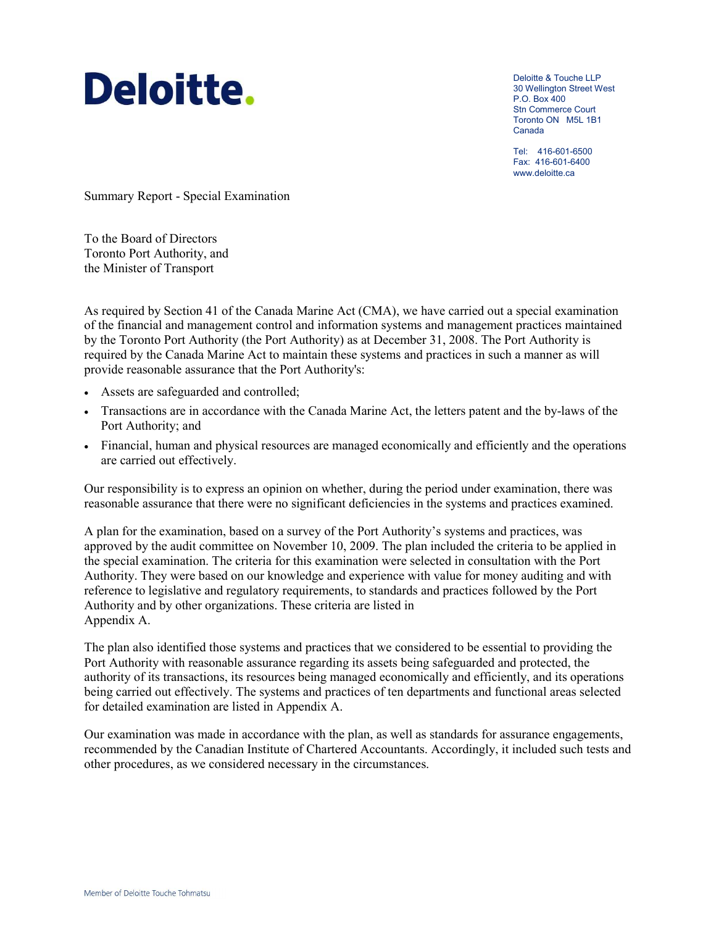# Deloitte.

Deloitte & Touche LLP 30 Wellington Street West P.O. Box 400 Stn Commerce Court Toronto ON M5L 1B1 Canada

Tel: 416-601-6500 Fax: 416-601-6400 www.deloitte.ca

Summary Report - Special Examination

To the Board of Directors Toronto Port Authority, and the Minister of Transport

As required by Section 41 of the Canada Marine Act (CMA), we have carried out a special examination of the financial and management control and information systems and management practices maintained by the Toronto Port Authority (the Port Authority) as at December 31, 2008. The Port Authority is required by the Canada Marine Act to maintain these systems and practices in such a manner as will provide reasonable assurance that the Port Authority's:

- Assets are safeguarded and controlled;
- Transactions are in accordance with the Canada Marine Act, the letters patent and the by-laws of the Port Authority; and
- Financial, human and physical resources are managed economically and efficiently and the operations are carried out effectively.

Our responsibility is to express an opinion on whether, during the period under examination, there was reasonable assurance that there were no significant deficiencies in the systems and practices examined.

A plan for the examination, based on a survey of the Port Authority's systems and practices, was approved by the audit committee on November 10, 2009. The plan included the criteria to be applied in the special examination. The criteria for this examination were selected in consultation with the Port Authority. They were based on our knowledge and experience with value for money auditing and with reference to legislative and regulatory requirements, to standards and practices followed by the Port Authority and by other organizations. These criteria are listed in Appendix A.

The plan also identified those systems and practices that we considered to be essential to providing the Port Authority with reasonable assurance regarding its assets being safeguarded and protected, the authority of its transactions, its resources being managed economically and efficiently, and its operations being carried out effectively. The systems and practices of ten departments and functional areas selected for detailed examination are listed in Appendix A.

Our examination was made in accordance with the plan, as well as standards for assurance engagements, recommended by the Canadian Institute of Chartered Accountants. Accordingly, it included such tests and other procedures, as we considered necessary in the circumstances.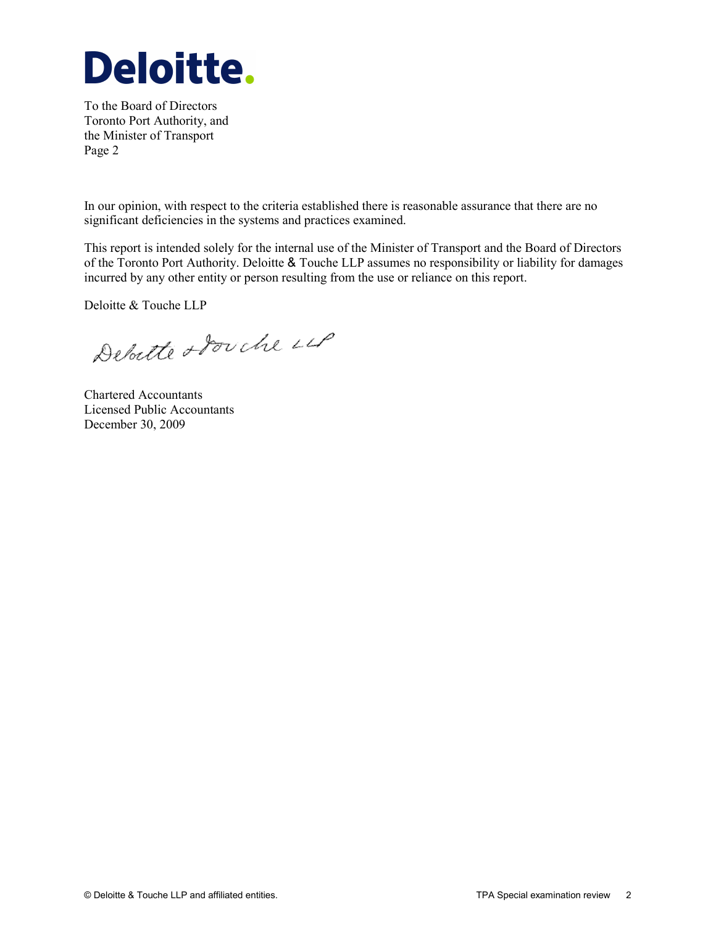

To the Board of Directors Toronto Port Authority, and the Minister of Transport Page 2

In our opinion, with respect to the criteria established there is reasonable assurance that there are no significant deficiencies in the systems and practices examined.

This report is intended solely for the internal use of the Minister of Transport and the Board of Directors of the Toronto Port Authority. Deloitte & Touche LLP assumes no responsibility or liability for damages incurred by any other entity or person resulting from the use or reliance on this report.

Deloitte & Touche LLP

Debutte obouche LLP

Chartered Accountants Licensed Public Accountants December 30, 2009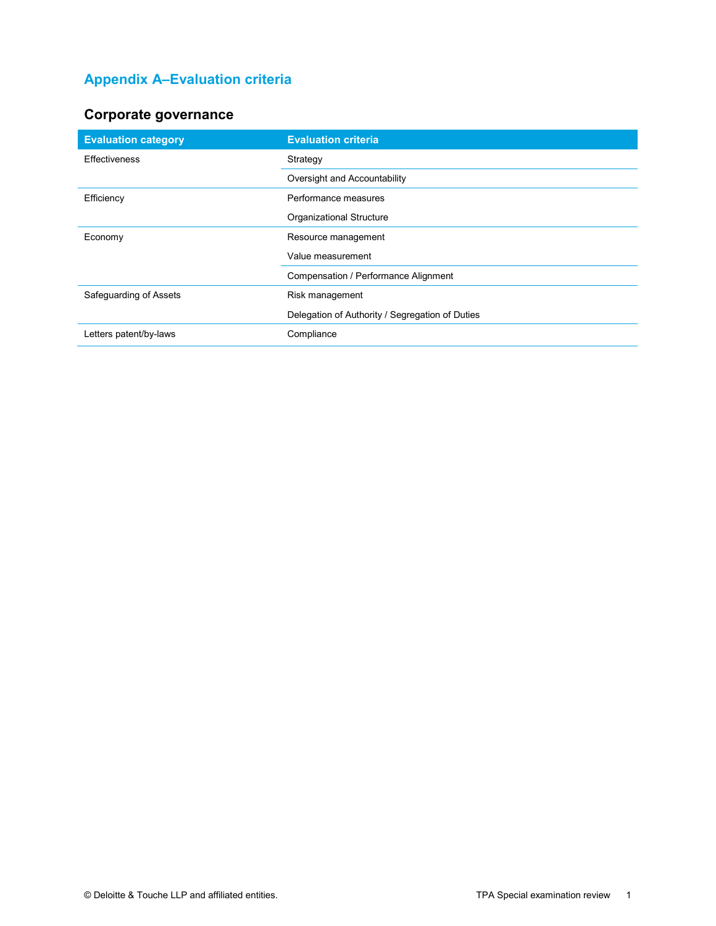## **Appendix A–Evaluation criteria**

## **Corporate governance**

| <b>Evaluation category</b> | <b>Evaluation criteria</b>                      |
|----------------------------|-------------------------------------------------|
| <b>Effectiveness</b>       | Strategy                                        |
|                            | Oversight and Accountability                    |
| Efficiency                 | Performance measures                            |
|                            | Organizational Structure                        |
| Economy                    | Resource management                             |
|                            | Value measurement                               |
|                            | Compensation / Performance Alignment            |
| Safeguarding of Assets     | Risk management                                 |
|                            | Delegation of Authority / Segregation of Duties |
| Letters patent/by-laws     | Compliance                                      |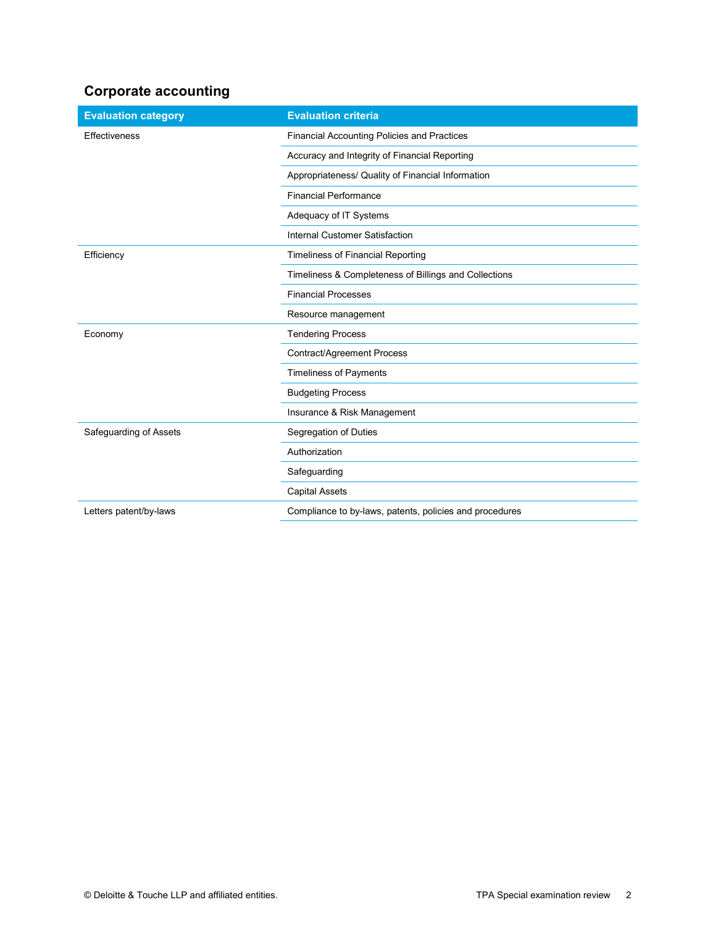#### **Corporate accounting**

| <b>Evaluation category</b> | <b>Evaluation criteria</b>                              |
|----------------------------|---------------------------------------------------------|
| Effectiveness              | Financial Accounting Policies and Practices             |
|                            | Accuracy and Integrity of Financial Reporting           |
|                            | Appropriateness/ Quality of Financial Information       |
|                            | <b>Financial Performance</b>                            |
|                            | Adequacy of IT Systems                                  |
|                            | <b>Internal Customer Satisfaction</b>                   |
| Efficiency                 | Timeliness of Financial Reporting                       |
|                            | Timeliness & Completeness of Billings and Collections   |
|                            | <b>Financial Processes</b>                              |
|                            | Resource management                                     |
| Economy                    | <b>Tendering Process</b>                                |
|                            | Contract/Agreement Process                              |
|                            | <b>Timeliness of Payments</b>                           |
|                            | <b>Budgeting Process</b>                                |
|                            | Insurance & Risk Management                             |
| Safeguarding of Assets     | Segregation of Duties                                   |
|                            | Authorization                                           |
|                            | Safeguarding                                            |
|                            | <b>Capital Assets</b>                                   |
| Letters patent/by-laws     | Compliance to by-laws, patents, policies and procedures |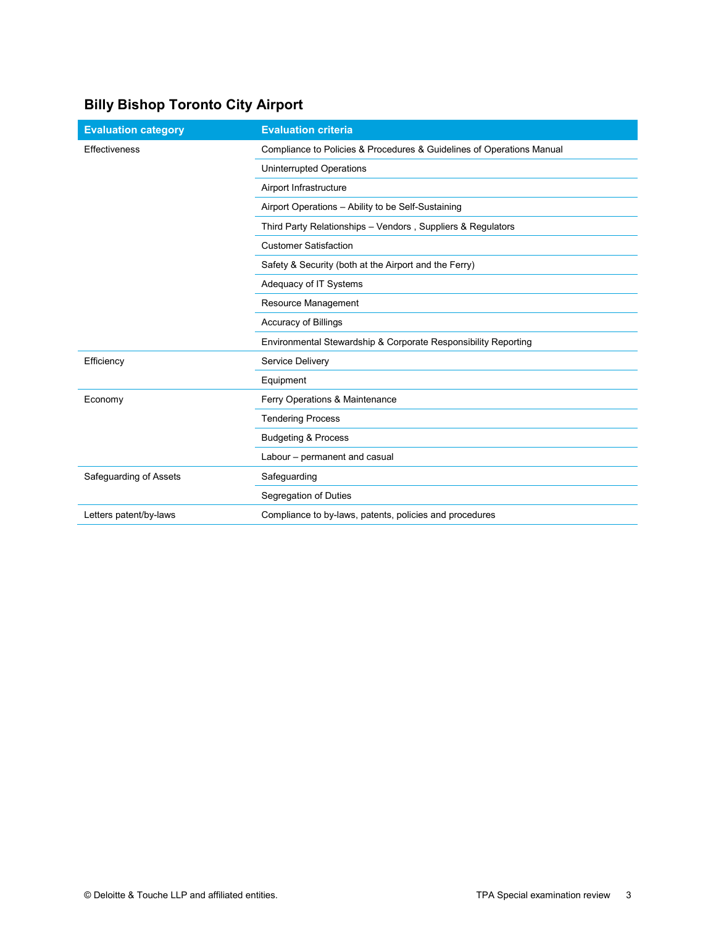# **Billy Bishop Toronto City Airport**

| <b>Evaluation category</b> | <b>Evaluation criteria</b>                                            |
|----------------------------|-----------------------------------------------------------------------|
| Effectiveness              | Compliance to Policies & Procedures & Guidelines of Operations Manual |
|                            | Uninterrupted Operations                                              |
|                            | Airport Infrastructure                                                |
|                            | Airport Operations - Ability to be Self-Sustaining                    |
|                            | Third Party Relationships - Vendors, Suppliers & Regulators           |
|                            | <b>Customer Satisfaction</b>                                          |
|                            | Safety & Security (both at the Airport and the Ferry)                 |
|                            | Adequacy of IT Systems                                                |
|                            | Resource Management                                                   |
|                            | <b>Accuracy of Billings</b>                                           |
|                            | Environmental Stewardship & Corporate Responsibility Reporting        |
| Efficiency                 | Service Delivery                                                      |
|                            | Equipment                                                             |
| Economy                    | Ferry Operations & Maintenance                                        |
|                            | <b>Tendering Process</b>                                              |
|                            | <b>Budgeting &amp; Process</b>                                        |
|                            | Labour - permanent and casual                                         |
| Safeguarding of Assets     | Safeguarding                                                          |
|                            | Segregation of Duties                                                 |
| Letters patent/by-laws     | Compliance to by-laws, patents, policies and procedures               |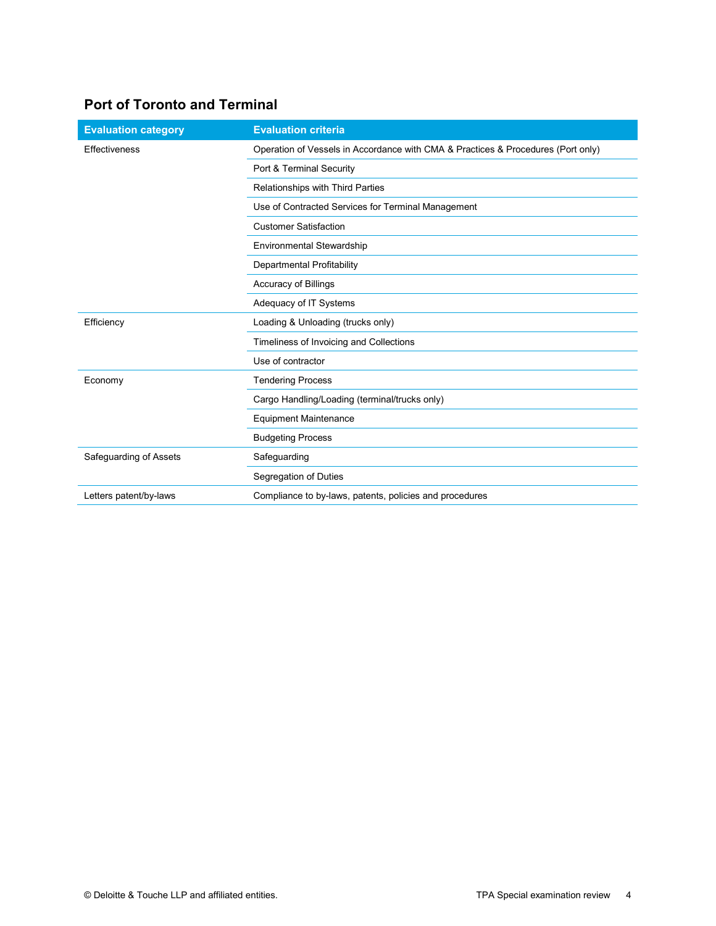## **Port of Toronto and Terminal**

| <b>Evaluation category</b> | <b>Evaluation criteria</b>                                                       |
|----------------------------|----------------------------------------------------------------------------------|
| <b>Effectiveness</b>       | Operation of Vessels in Accordance with CMA & Practices & Procedures (Port only) |
|                            | Port & Terminal Security                                                         |
|                            | Relationships with Third Parties                                                 |
|                            | Use of Contracted Services for Terminal Management                               |
|                            | <b>Customer Satisfaction</b>                                                     |
|                            | Environmental Stewardship                                                        |
|                            | Departmental Profitability                                                       |
|                            | <b>Accuracy of Billings</b>                                                      |
|                            | Adequacy of IT Systems                                                           |
| Efficiency                 | Loading & Unloading (trucks only)                                                |
|                            | Timeliness of Invoicing and Collections                                          |
|                            | Use of contractor                                                                |
| Economy                    | <b>Tendering Process</b>                                                         |
|                            | Cargo Handling/Loading (terminal/trucks only)                                    |
|                            | <b>Equipment Maintenance</b>                                                     |
|                            | <b>Budgeting Process</b>                                                         |
| Safeguarding of Assets     | Safeguarding                                                                     |
|                            | Segregation of Duties                                                            |
| Letters patent/by-laws     | Compliance to by-laws, patents, policies and procedures                          |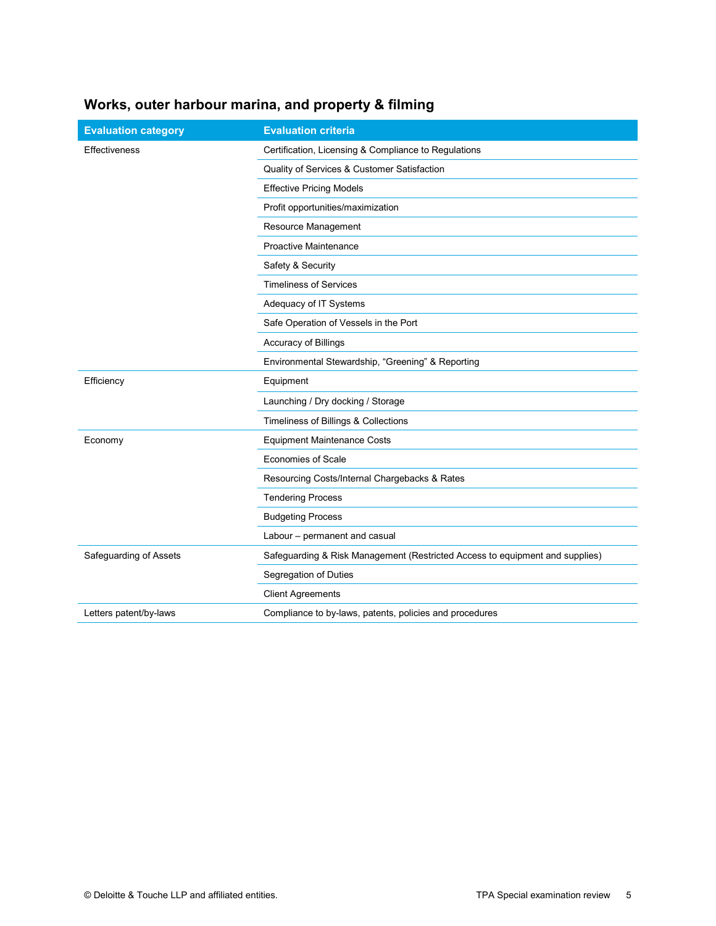## **Works, outer harbour marina, and property & filming**

| <b>Evaluation category</b> | <b>Evaluation criteria</b>                                                   |
|----------------------------|------------------------------------------------------------------------------|
| Effectiveness              | Certification, Licensing & Compliance to Regulations                         |
|                            | Quality of Services & Customer Satisfaction                                  |
|                            | <b>Effective Pricing Models</b>                                              |
|                            | Profit opportunities/maximization                                            |
|                            | Resource Management                                                          |
|                            | Proactive Maintenance                                                        |
|                            | Safety & Security                                                            |
|                            | <b>Timeliness of Services</b>                                                |
|                            | Adequacy of IT Systems                                                       |
|                            | Safe Operation of Vessels in the Port                                        |
|                            | Accuracy of Billings                                                         |
|                            | Environmental Stewardship, "Greening" & Reporting                            |
| Efficiency                 | Equipment                                                                    |
|                            | Launching / Dry docking / Storage                                            |
|                            | Timeliness of Billings & Collections                                         |
| Economy                    | <b>Equipment Maintenance Costs</b>                                           |
|                            | <b>Economies of Scale</b>                                                    |
|                            | Resourcing Costs/Internal Chargebacks & Rates                                |
|                            | <b>Tendering Process</b>                                                     |
|                            | <b>Budgeting Process</b>                                                     |
|                            | Labour - permanent and casual                                                |
| Safeguarding of Assets     | Safeguarding & Risk Management (Restricted Access to equipment and supplies) |
|                            | Segregation of Duties                                                        |
|                            | <b>Client Agreements</b>                                                     |
| Letters patent/by-laws     | Compliance to by-laws, patents, policies and procedures                      |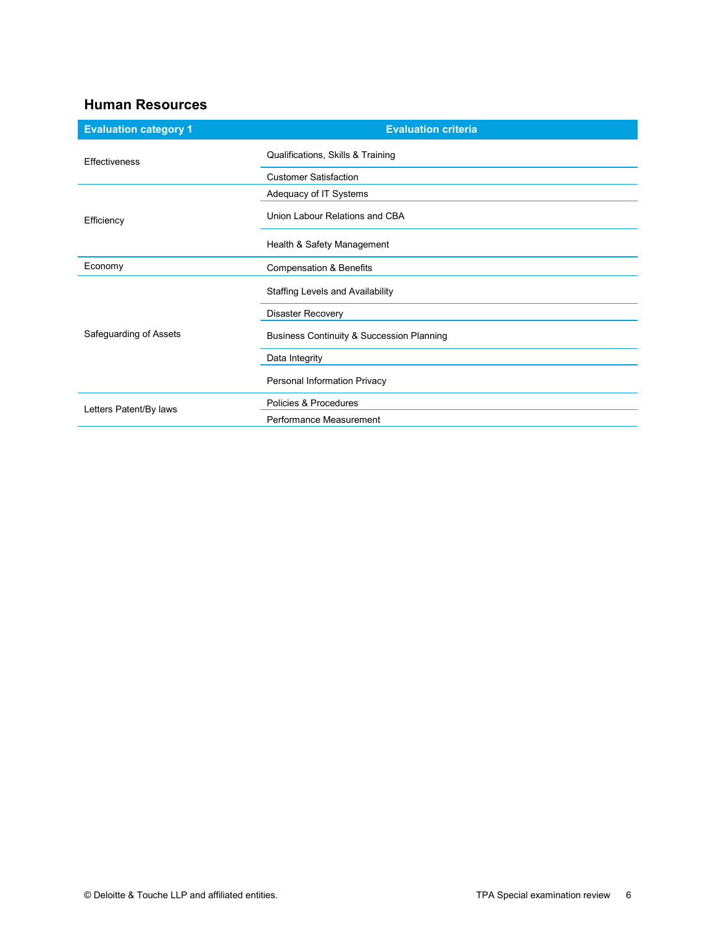#### **Human Resources**

| <b>Evaluation category 1</b> | <b>Evaluation criteria</b>                |
|------------------------------|-------------------------------------------|
| Effectiveness                | Qualifications, Skills & Training         |
|                              | <b>Customer Satisfaction</b>              |
| Efficiency                   | Adequacy of IT Systems                    |
|                              | Union Labour Relations and CBA            |
|                              | Health & Safety Management                |
| Economy                      | <b>Compensation &amp; Benefits</b>        |
| Safeguarding of Assets       | Staffing Levels and Availability          |
|                              | <b>Disaster Recovery</b>                  |
|                              | Business Continuity & Succession Planning |
|                              | Data Integrity                            |
|                              | Personal Information Privacy              |
| Letters Patent/By laws       | Policies & Procedures                     |
|                              | Performance Measurement                   |